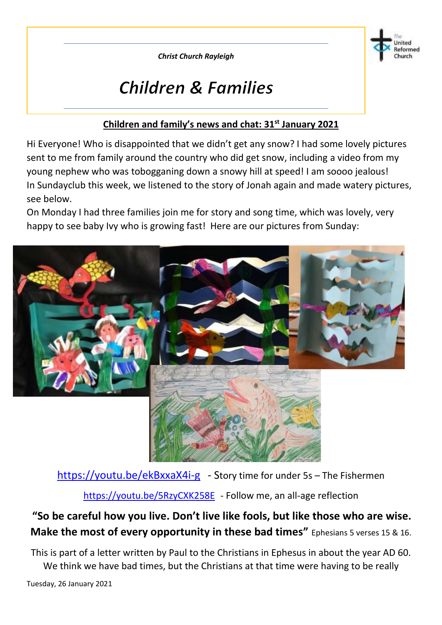*Christ Church Rayleigh*



# **Children & Families**

#### **Children and family's news and chat: 31st January 2021**

Hi Everyone! Who is disappointed that we didn't get any snow? I had some lovely pictures sent to me from family around the country who did get snow, including a video from my young nephew who was tobogganing down a snowy hill at speed! I am soooo jealous! In Sundayclub this week, we listened to the story of Jonah again and made watery pictures, see below.

On Monday I had three families join me for story and song time, which was lovely, very happy to see baby Ivy who is growing fast! Here are our pictures from Sunday:



<https://youtu.be/ekBxxaX4i-g> - Story time for under 5s - The Fishermen

<https://youtu.be/5RzyCXK258E> - Follow me, an all-age reflection

### **"So be careful how you live. Don't live like fools, but like those who are wise. Make the most of every opportunity in these bad times"** Ephesians 5 verses 15 & 16.

This is part of a letter written by Paul to the Christians in Ephesus in about the year AD 60. We think we have bad times, but the Christians at that time were having to be really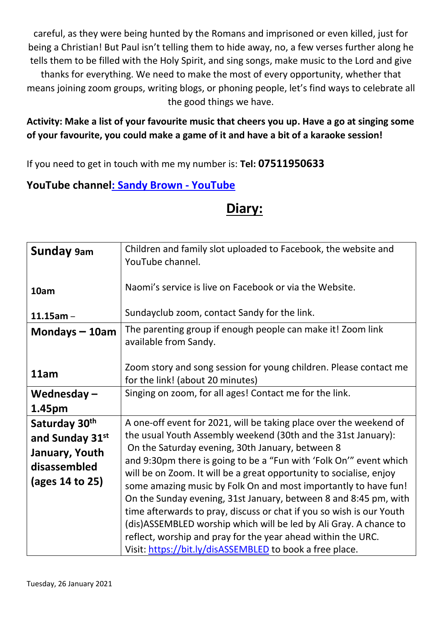careful, as they were being hunted by the Romans and imprisoned or even killed, just for being a Christian! But Paul isn't telling them to hide away, no, a few verses further along he tells them to be filled with the Holy Spirit, and sing songs, make music to the Lord and give thanks for everything. We need to make the most of every opportunity, whether that means joining zoom groups, writing blogs, or phoning people, let's find ways to celebrate all the good things we have.

#### **Activity: Make a list of your favourite music that cheers you up. Have a go at singing some of your favourite, you could make a game of it and have a bit of a karaoke session!**

If you need to get in touch with me my number is: **Tel: 07511950633**

#### **YouTube channe[l: Sandy Brown -](https://www.youtube.com/channel/UCczXJ3IckAMTs3fhXEBjI_g) YouTube**

### **Diary:**

| <b>Sunday</b> 9am                                                                     | Children and family slot uploaded to Facebook, the website and<br>YouTube channel.                                                                                                                                                                                                                                                                                                                                                                                                                                                                                                                                                                                                                                                                    |  |  |  |  |  |  |
|---------------------------------------------------------------------------------------|-------------------------------------------------------------------------------------------------------------------------------------------------------------------------------------------------------------------------------------------------------------------------------------------------------------------------------------------------------------------------------------------------------------------------------------------------------------------------------------------------------------------------------------------------------------------------------------------------------------------------------------------------------------------------------------------------------------------------------------------------------|--|--|--|--|--|--|
| 10am                                                                                  | Naomi's service is live on Facebook or via the Website.<br>Sundayclub zoom, contact Sandy for the link.                                                                                                                                                                                                                                                                                                                                                                                                                                                                                                                                                                                                                                               |  |  |  |  |  |  |
| $11.15$ am -                                                                          |                                                                                                                                                                                                                                                                                                                                                                                                                                                                                                                                                                                                                                                                                                                                                       |  |  |  |  |  |  |
| Mondays $-10$ am                                                                      | The parenting group if enough people can make it! Zoom link<br>available from Sandy.                                                                                                                                                                                                                                                                                                                                                                                                                                                                                                                                                                                                                                                                  |  |  |  |  |  |  |
| 11am                                                                                  | Zoom story and song session for young children. Please contact me<br>for the link! (about 20 minutes)                                                                                                                                                                                                                                                                                                                                                                                                                                                                                                                                                                                                                                                 |  |  |  |  |  |  |
| Wednesday $-$<br>1.45pm                                                               | Singing on zoom, for all ages! Contact me for the link.                                                                                                                                                                                                                                                                                                                                                                                                                                                                                                                                                                                                                                                                                               |  |  |  |  |  |  |
| Saturday 30th<br>and Sunday 31st<br>January, Youth<br>disassembled<br>(ages 14 to 25) | A one-off event for 2021, will be taking place over the weekend of<br>the usual Youth Assembly weekend (30th and the 31st January):<br>On the Saturday evening, 30th January, between 8<br>and 9:30pm there is going to be a "Fun with 'Folk On'" event which<br>will be on Zoom. It will be a great opportunity to socialise, enjoy<br>some amazing music by Folk On and most importantly to have fun!<br>On the Sunday evening, 31st January, between 8 and 8:45 pm, with<br>time afterwards to pray, discuss or chat if you so wish is our Youth<br>(dis) ASSEMBLED worship which will be led by Ali Gray. A chance to<br>reflect, worship and pray for the year ahead within the URC.<br>Visit: https://bit.ly/disASSEMBLED to book a free place. |  |  |  |  |  |  |